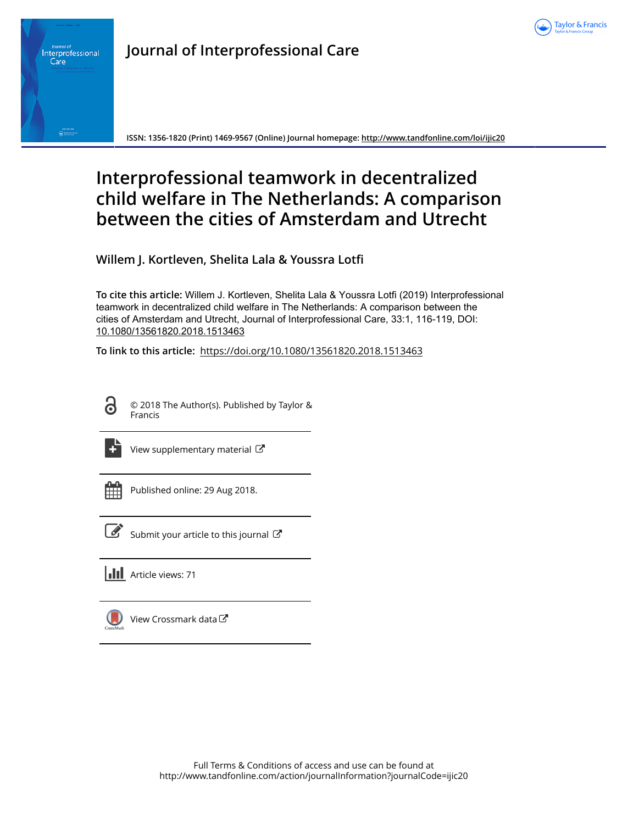

**ISSN: 1356-1820 (Print) 1469-9567 (Online) Journal homepage:<http://www.tandfonline.com/loi/ijic20>**

# **Interprofessional teamwork in decentralized child welfare in The Netherlands: A comparison between the cities of Amsterdam and Utrecht**

**Willem J. Kortleven, Shelita Lala & Youssra Lotfi**

**To cite this article:** Willem J. Kortleven, Shelita Lala & Youssra Lotfi (2019) Interprofessional teamwork in decentralized child welfare in The Netherlands: A comparison between the cities of Amsterdam and Utrecht, Journal of Interprofessional Care, 33:1, 116-119, DOI: [10.1080/13561820.2018.1513463](http://www.tandfonline.com/action/showCitFormats?doi=10.1080/13561820.2018.1513463)

**To link to this article:** <https://doi.org/10.1080/13561820.2018.1513463>

6

© 2018 The Author(s). Published by Taylor & Francis



[View supplementary material](http://www.tandfonline.com/doi/suppl/10.1080/13561820.2018.1513463)  $\mathbb{Z}$ 



Published online: 29 Aug 2018.



[Submit your article to this journal](http://www.tandfonline.com/action/authorSubmission?journalCode=ijic20&show=instructions)  $\mathbb{Z}$ 

**III** Article views: 71



[View Crossmark data](http://crossmark.crossref.org/dialog/?doi=10.1080/13561820.2018.1513463&domain=pdf&date_stamp=2018-08-29)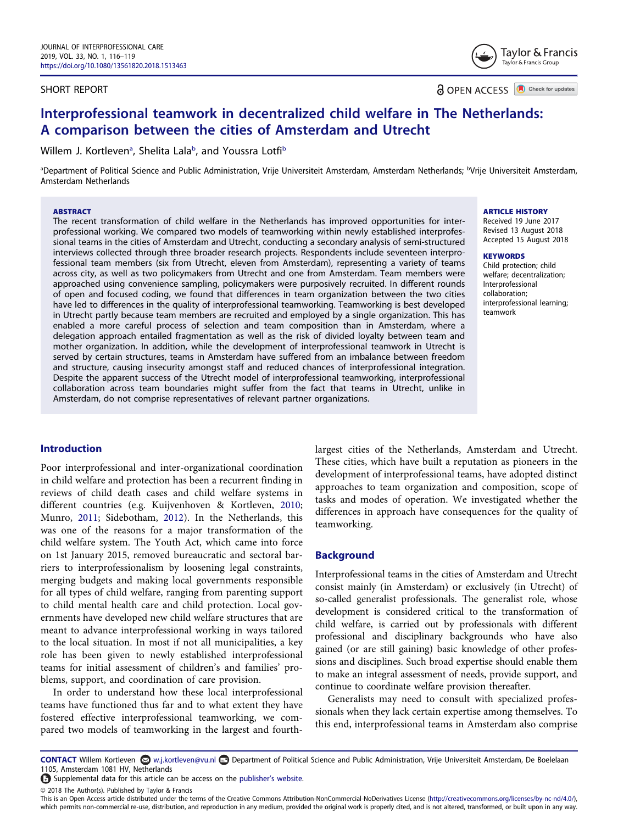# SHORT REPORT

Taylor & Francis Taylor & Francis Group

**a** OPEN ACCESS **a** Check for updates

# Interprofessional teamwork in decentralized child welfare in The Netherlands: A comparison between the cities of Amsterdam and Utrecht

# Willem J. Kortleven<sup>[a](#page-1-0)</sup>, Shelita Lala<sup>b</sup>, and Youssra Lotfi<sup>b</sup>

<span id="page-1-0"></span>a Department of Political Science and Public Administration, Vrije Universiteit Amsterdam, Amsterdam Netherlands; <sup>b</sup> Vrije Universiteit Amsterdam, Amsterdam Netherlands

# **ABSTRACT**

The recent transformation of child welfare in the Netherlands has improved opportunities for interprofessional working. We compared two models of teamworking within newly established interprofessional teams in the cities of Amsterdam and Utrecht, conducting a secondary analysis of semi-structured interviews collected through three broader research projects. Respondents include seventeen interprofessional team members (six from Utrecht, eleven from Amsterdam), representing a variety of teams across city, as well as two policymakers from Utrecht and one from Amsterdam. Team members were approached using convenience sampling, policymakers were purposively recruited. In different rounds of open and focused coding, we found that differences in team organization between the two cities have led to differences in the quality of interprofessional teamworking. Teamworking is best developed in Utrecht partly because team members are recruited and employed by a single organization. This has enabled a more careful process of selection and team composition than in Amsterdam, where a delegation approach entailed fragmentation as well as the risk of divided loyalty between team and mother organization. In addition, while the development of interprofessional teamwork in Utrecht is served by certain structures, teams in Amsterdam have suffered from an imbalance between freedom and structure, causing insecurity amongst staff and reduced chances of interprofessional integration. Despite the apparent success of the Utrecht model of interprofessional teamworking, interprofessional collaboration across team boundaries might suffer from the fact that teams in Utrecht, unlike in Amsterdam, do not comprise representatives of relevant partner organizations.

# Introduction

<span id="page-1-2"></span><span id="page-1-1"></span>Poor interprofessional and inter-organizational coordination in child welfare and protection has been a recurrent finding in reviews of child death cases and child welfare systems in different countries (e.g. Kuijvenhoven & Kortleven, [2010;](#page-4-0) Munro, [2011](#page-4-1); Sidebotham, [2012](#page-4-2)). In the Netherlands, this was one of the reasons for a major transformation of the child welfare system. The Youth Act, which came into force on 1st January 2015, removed bureaucratic and sectoral barriers to interprofessionalism by loosening legal constraints, merging budgets and making local governments responsible for all types of child welfare, ranging from parenting support to child mental health care and child protection. Local governments have developed new child welfare structures that are meant to advance interprofessional working in ways tailored to the local situation. In most if not all municipalities, a key role has been given to newly established interprofessional teams for initial assessment of children's and families' problems, support, and coordination of care provision.

In order to understand how these local interprofessional teams have functioned thus far and to what extent they have fostered effective interprofessional teamworking, we compared two models of teamworking in the largest and fourthlargest cities of the Netherlands, Amsterdam and Utrecht. These cities, which have built a reputation as pioneers in the development of interprofessional teams, have adopted distinct approaches to team organization and composition, scope of tasks and modes of operation. We investigated whether the differences in approach have consequences for the quality of teamworking.

# Background

Interprofessional teams in the cities of Amsterdam and Utrecht consist mainly (in Amsterdam) or exclusively (in Utrecht) of so-called generalist professionals. The generalist role, whose development is considered critical to the transformation of child welfare, is carried out by professionals with different professional and disciplinary backgrounds who have also gained (or are still gaining) basic knowledge of other professions and disciplines. Such broad expertise should enable them to make an integral assessment of needs, provide support, and continue to coordinate welfare provision thereafter.

Generalists may need to consult with specialized professionals when they lack certain expertise among themselves. To this end, interprofessional teams in Amsterdam also comprise

© 2018 The Author(s). Published by Taylor & Francis

This is an Open Access article distributed under the terms of the Creative Commons Attribution-NonCommercial-NoDerivatives License (http://creativecommons.org/licenses/by-nc-nd/4.0/), which permits non-commercial re-use, distribution, and reproduction in any medium, provided the original work is properly cited, and is not altered, transformed, or built upon in any way.

# ARTICLE HISTORY

Received 19 June 2017 Revised 13 August 2018 Accepted 15 August 2018

#### **KEYWORDS**

Child protection; child welfare; decentralization; Interprofessional collaboration; interprofessional learning; teamwork

CONTACT Willem Kortleven & w.j.kortleven@vu.nl **D** Department of Political Science and Public Administration, Vrije Universiteit Amsterdam, De Boelelaan 1105, Amsterdam 1081 HV, Netherlands

Supplemental data for this article can be access on the publisher'[s website](https://doi.org/10.1080/13561820.2018.1513463).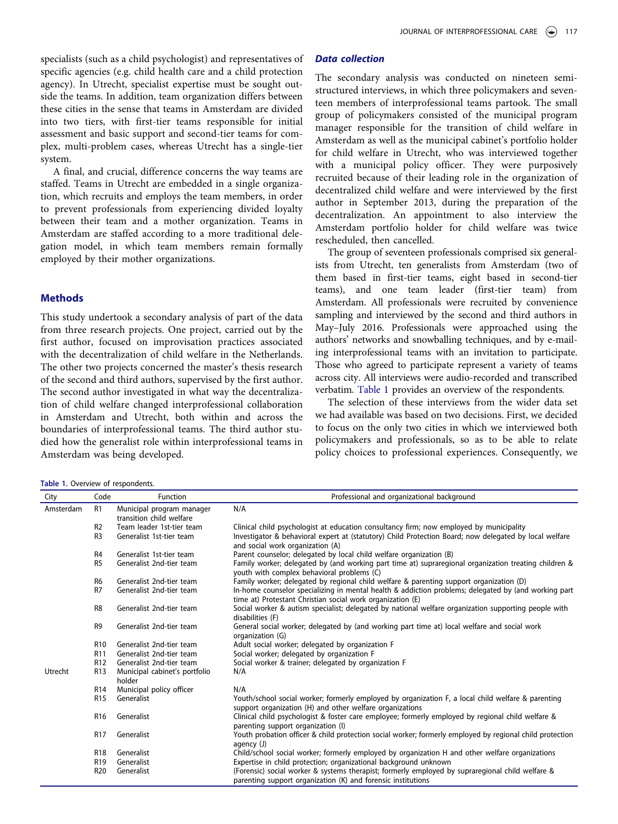specialists (such as a child psychologist) and representatives of specific agencies (e.g. child health care and a child protection agency). In Utrecht, specialist expertise must be sought outside the teams. In addition, team organization differs between these cities in the sense that teams in Amsterdam are divided into two tiers, with first-tier teams responsible for initial assessment and basic support and second-tier teams for complex, multi-problem cases, whereas Utrecht has a single-tier system.

A final, and crucial, difference concerns the way teams are staffed. Teams in Utrecht are embedded in a single organization, which recruits and employs the team members, in order to prevent professionals from experiencing divided loyalty between their team and a mother organization. Teams in Amsterdam are staffed according to a more traditional delegation model, in which team members remain formally employed by their mother organizations.

# **Methods**

This study undertook a secondary analysis of part of the data from three research projects. One project, carried out by the first author, focused on improvisation practices associated with the decentralization of child welfare in the Netherlands. The other two projects concerned the master's thesis research of the second and third authors, supervised by the first author. The second author investigated in what way the decentralization of child welfare changed interprofessional collaboration in Amsterdam and Utrecht, both within and across the boundaries of interprofessional teams. The third author studied how the generalist role within interprofessional teams in Amsterdam was being developed.

<span id="page-2-0"></span>Table 1. Overview of respondents.

# Data collection

The secondary analysis was conducted on nineteen semistructured interviews, in which three policymakers and seventeen members of interprofessional teams partook. The small group of policymakers consisted of the municipal program manager responsible for the transition of child welfare in Amsterdam as well as the municipal cabinet's portfolio holder for child welfare in Utrecht, who was interviewed together with a municipal policy officer. They were purposively recruited because of their leading role in the organization of decentralized child welfare and were interviewed by the first author in September 2013, during the preparation of the decentralization. An appointment to also interview the Amsterdam portfolio holder for child welfare was twice rescheduled, then cancelled.

The group of seventeen professionals comprised six generalists from Utrecht, ten generalists from Amsterdam (two of them based in first-tier teams, eight based in second-tier teams), and one team leader (first-tier team) from Amsterdam. All professionals were recruited by convenience sampling and interviewed by the second and third authors in May–July 2016. Professionals were approached using the authors' networks and snowballing techniques, and by e-mailing interprofessional teams with an invitation to participate. Those who agreed to participate represent a variety of teams across city. All interviews were audio-recorded and transcribed verbatim. [Table 1](#page-2-0) provides an overview of the respondents.

The selection of these interviews from the wider data set we had available was based on two decisions. First, we decided to focus on the only two cities in which we interviewed both policymakers and professionals, so as to be able to relate policy choices to professional experiences. Consequently, we

| City      | Code            | Function                                              | Professional and organizational background                                                                                                                         |
|-----------|-----------------|-------------------------------------------------------|--------------------------------------------------------------------------------------------------------------------------------------------------------------------|
| Amsterdam | R1              | Municipal program manager<br>transition child welfare | N/A                                                                                                                                                                |
|           | R <sub>2</sub>  | Team leader 1st-tier team                             | Clinical child psychologist at education consultancy firm; now employed by municipality                                                                            |
|           | R <sub>3</sub>  | Generalist 1st-tier team                              | Investigator & behavioral expert at (statutory) Child Protection Board; now delegated by local welfare<br>and social work organization (A)                         |
|           | R <sub>4</sub>  | Generalist 1st-tier team                              | Parent counselor; delegated by local child welfare organization (B)                                                                                                |
|           | R <sub>5</sub>  | Generalist 2nd-tier team                              | Family worker; delegated by (and working part time at) supraregional organization treating children &<br>youth with complex behavioral problems (C)                |
|           | R <sub>6</sub>  | Generalist 2nd-tier team                              | Family worker; delegated by regional child welfare & parenting support organization (D)                                                                            |
|           | <b>R7</b>       | Generalist 2nd-tier team                              | In-home counselor specializing in mental health & addiction problems; delegated by (and working part<br>time at) Protestant Christian social work organization (E) |
|           | R <sub>8</sub>  | Generalist 2nd-tier team                              | Social worker & autism specialist; delegated by national welfare organization supporting people with<br>disabilities (F)                                           |
|           | R <sub>9</sub>  | Generalist 2nd-tier team                              | General social worker; delegated by (and working part time at) local welfare and social work<br>organization (G)                                                   |
|           | R <sub>10</sub> | Generalist 2nd-tier team                              | Adult social worker; delegated by organization F                                                                                                                   |
|           | R <sub>11</sub> | Generalist 2nd-tier team                              | Social worker; delegated by organization F                                                                                                                         |
|           | R <sub>12</sub> | Generalist 2nd-tier team                              | Social worker & trainer; delegated by organization F                                                                                                               |
| Utrecht   | R <sub>13</sub> | Municipal cabinet's portfolio<br>holder               | N/A                                                                                                                                                                |
|           | R <sub>14</sub> | Municipal policy officer                              | N/A                                                                                                                                                                |
|           | <b>R15</b>      | Generalist                                            | Youth/school social worker; formerly employed by organization F, a local child welfare & parenting<br>support organization (H) and other welfare organizations     |
|           | R <sub>16</sub> | Generalist                                            | Clinical child psychologist & foster care employee; formerly employed by regional child welfare &<br>parenting support organization (I)                            |
|           | R <sub>17</sub> | Generalist                                            | Youth probation officer & child protection social worker; formerly employed by regional child protection<br>agency (J)                                             |
|           | <b>R18</b>      | Generalist                                            | Child/school social worker; formerly employed by organization H and other welfare organizations                                                                    |
|           | R <sub>19</sub> | Generalist                                            | Expertise in child protection; organizational background unknown                                                                                                   |
|           | R <sub>20</sub> | Generalist                                            | (Forensic) social worker & systems therapist; formerly employed by supraregional child welfare &<br>parenting support organization (K) and forensic institutions   |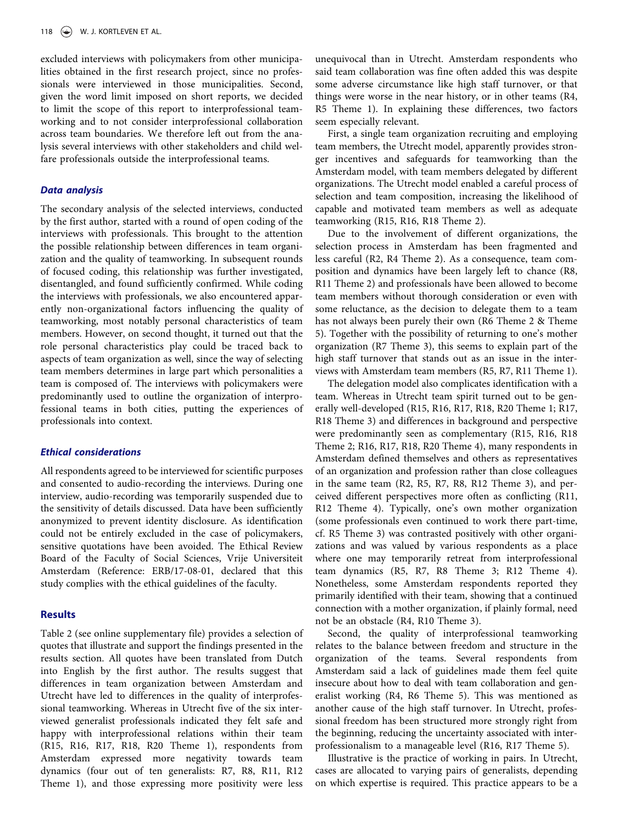excluded interviews with policymakers from other municipalities obtained in the first research project, since no professionals were interviewed in those municipalities. Second, given the word limit imposed on short reports, we decided to limit the scope of this report to interprofessional teamworking and to not consider interprofessional collaboration across team boundaries. We therefore left out from the analysis several interviews with other stakeholders and child welfare professionals outside the interprofessional teams.

### Data analysis

The secondary analysis of the selected interviews, conducted by the first author, started with a round of open coding of the interviews with professionals. This brought to the attention the possible relationship between differences in team organization and the quality of teamworking. In subsequent rounds of focused coding, this relationship was further investigated, disentangled, and found sufficiently confirmed. While coding the interviews with professionals, we also encountered apparently non-organizational factors influencing the quality of teamworking, most notably personal characteristics of team members. However, on second thought, it turned out that the role personal characteristics play could be traced back to aspects of team organization as well, since the way of selecting team members determines in large part which personalities a team is composed of. The interviews with policymakers were predominantly used to outline the organization of interprofessional teams in both cities, putting the experiences of professionals into context.

# Ethical considerations

All respondents agreed to be interviewed for scientific purposes and consented to audio-recording the interviews. During one interview, audio-recording was temporarily suspended due to the sensitivity of details discussed. Data have been sufficiently anonymized to prevent identity disclosure. As identification could not be entirely excluded in the case of policymakers, sensitive quotations have been avoided. The Ethical Review Board of the Faculty of Social Sciences, Vrije Universiteit Amsterdam (Reference: ERB/17-08-01, declared that this study complies with the ethical guidelines of the faculty.

# **Results**

Table 2 (see online supplementary file) provides a selection of quotes that illustrate and support the findings presented in the results section. All quotes have been translated from Dutch into English by the first author. The results suggest that differences in team organization between Amsterdam and Utrecht have led to differences in the quality of interprofessional teamworking. Whereas in Utrecht five of the six interviewed generalist professionals indicated they felt safe and happy with interprofessional relations within their team (R15, R16, R17, R18, R20 Theme 1), respondents from Amsterdam expressed more negativity towards team dynamics (four out of ten generalists: R7, R8, R11, R12 Theme 1), and those expressing more positivity were less

unequivocal than in Utrecht. Amsterdam respondents who said team collaboration was fine often added this was despite some adverse circumstance like high staff turnover, or that things were worse in the near history, or in other teams (R4, R5 Theme 1). In explaining these differences, two factors seem especially relevant.

First, a single team organization recruiting and employing team members, the Utrecht model, apparently provides stronger incentives and safeguards for teamworking than the Amsterdam model, with team members delegated by different organizations. The Utrecht model enabled a careful process of selection and team composition, increasing the likelihood of capable and motivated team members as well as adequate teamworking (R15, R16, R18 Theme 2).

Due to the involvement of different organizations, the selection process in Amsterdam has been fragmented and less careful (R2, R4 Theme 2). As a consequence, team composition and dynamics have been largely left to chance (R8, R11 Theme 2) and professionals have been allowed to become team members without thorough consideration or even with some reluctance, as the decision to delegate them to a team has not always been purely their own (R6 Theme 2 & Theme 5). Together with the possibility of returning to one's mother organization (R7 Theme 3), this seems to explain part of the high staff turnover that stands out as an issue in the interviews with Amsterdam team members (R5, R7, R11 Theme 1).

The delegation model also complicates identification with a team. Whereas in Utrecht team spirit turned out to be generally well-developed (R15, R16, R17, R18, R20 Theme 1; R17, R18 Theme 3) and differences in background and perspective were predominantly seen as complementary (R15, R16, R18 Theme 2; R16, R17, R18, R20 Theme 4), many respondents in Amsterdam defined themselves and others as representatives of an organization and profession rather than close colleagues in the same team (R2, R5, R7, R8, R12 Theme 3), and perceived different perspectives more often as conflicting (R11, R12 Theme 4). Typically, one's own mother organization (some professionals even continued to work there part-time, cf. R5 Theme 3) was contrasted positively with other organizations and was valued by various respondents as a place where one may temporarily retreat from interprofessional team dynamics (R5, R7, R8 Theme 3; R12 Theme 4). Nonetheless, some Amsterdam respondents reported they primarily identified with their team, showing that a continued connection with a mother organization, if plainly formal, need not be an obstacle (R4, R10 Theme 3).

Second, the quality of interprofessional teamworking relates to the balance between freedom and structure in the organization of the teams. Several respondents from Amsterdam said a lack of guidelines made them feel quite insecure about how to deal with team collaboration and generalist working (R4, R6 Theme 5). This was mentioned as another cause of the high staff turnover. In Utrecht, professional freedom has been structured more strongly right from the beginning, reducing the uncertainty associated with interprofessionalism to a manageable level (R16, R17 Theme 5).

Illustrative is the practice of working in pairs. In Utrecht, cases are allocated to varying pairs of generalists, depending on which expertise is required. This practice appears to be a